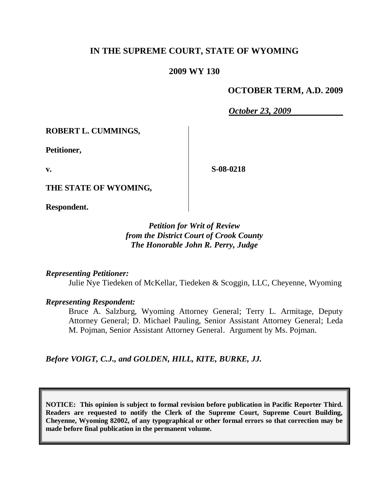# **IN THE SUPREME COURT, STATE OF WYOMING**

### **2009 WY 130**

## **OCTOBER TERM, A.D. 2009**

*October 23, 2009*

**ROBERT L. CUMMINGS,**

**Petitioner,**

**v.**

**S-08-0218**

**THE STATE OF WYOMING,**

**Respondent.**

# *Petition for Writ of Review from the District Court of Crook County The Honorable John R. Perry, Judge*

*Representing Petitioner:*

Julie Nye Tiedeken of McKellar, Tiedeken & Scoggin, LLC, Cheyenne, Wyoming

*Representing Respondent:*

Bruce A. Salzburg, Wyoming Attorney General; Terry L. Armitage, Deputy Attorney General; D. Michael Pauling, Senior Assistant Attorney General; Leda M. Pojman, Senior Assistant Attorney General. Argument by Ms. Pojman.

*Before VOIGT, C.J., and GOLDEN, HILL, KITE, BURKE, JJ.*

**NOTICE: This opinion is subject to formal revision before publication in Pacific Reporter Third. Readers are requested to notify the Clerk of the Supreme Court, Supreme Court Building, Cheyenne, Wyoming 82002, of any typographical or other formal errors so that correction may be made before final publication in the permanent volume.**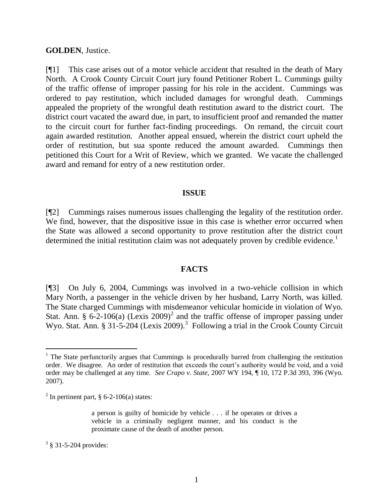### **GOLDEN**, Justice.

[¶1] This case arises out of a motor vehicle accident that resulted in the death of Mary North. A Crook County Circuit Court jury found Petitioner Robert L. Cummings guilty of the traffic offense of improper passing for his role in the accident. Cummings was ordered to pay restitution, which included damages for wrongful death. Cummings appealed the propriety of the wrongful death restitution award to the district court. The district court vacated the award due, in part, to insufficient proof and remanded the matter to the circuit court for further fact-finding proceedings. On remand, the circuit court again awarded restitution. Another appeal ensued, wherein the district court upheld the order of restitution, but sua sponte reduced the amount awarded. Cummings then petitioned this Court for a Writ of Review, which we granted. We vacate the challenged award and remand for entry of a new restitution order.

#### **ISSUE**

[¶2] Cummings raises numerous issues challenging the legality of the restitution order. We find, however, that the dispositive issue in this case is whether error occurred when the State was allowed a second opportunity to prove restitution after the district court determined the initial restitution claim was not adequately proven by credible evidence.<sup>1</sup>

### **FACTS**

[¶3] On July 6, 2004, Cummings was involved in a two-vehicle collision in which Mary North, a passenger in the vehicle driven by her husband, Larry North, was killed. The State charged Cummings with misdemeanor vehicular homicide in violation of Wyo. Stat. Ann. § 6-2-106(a) (Lexis 2009)<sup>2</sup> and the traffic offense of improper passing under Wyo. Stat. Ann. § 31-5-204 (Lexis 2009).<sup>3</sup> Following a trial in the Crook County Circuit

 $3 \frac{3}{9}$  31-5-204 provides:

 $\overline{a}$ 

 $1$  The State perfunctorily argues that Cummings is procedurally barred from challenging the restitution order. We disagree. An order of restitution that exceeds the court's authority would be void, and a void order may be challenged at any time. *See Crapo v. State*, 2007 WY 194, ¶ 10, 172 P.3d 393, 396 (Wyo. 2007).

<sup>&</sup>lt;sup>2</sup> In pertinent part, § 6-2-106(a) states:

a person is guilty of homicide by vehicle . . . if he operates or drives a vehicle in a criminally negligent manner, and his conduct is the proximate cause of the death of another person.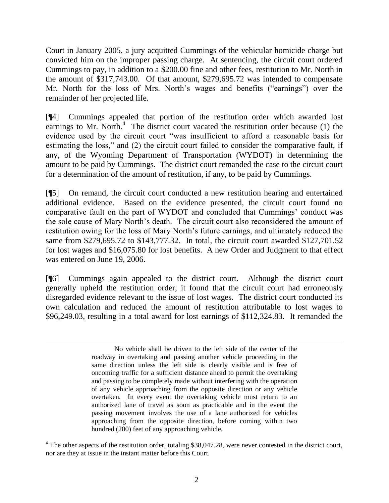Court in January 2005, a jury acquitted Cummings of the vehicular homicide charge but convicted him on the improper passing charge. At sentencing, the circuit court ordered Cummings to pay, in addition to a \$200.00 fine and other fees, restitution to Mr. North in the amount of \$317,743.00. Of that amount, \$279,695.72 was intended to compensate Mr. North for the loss of Mrs. North's wages and benefits ("earnings") over the remainder of her projected life.

[¶4] Cummings appealed that portion of the restitution order which awarded lost earnings to Mr. North. $4$  The district court vacated the restitution order because (1) the evidence used by the circuit court "was insufficient to afford a reasonable basis for estimating the loss," and (2) the circuit court failed to consider the comparative fault, if any, of the Wyoming Department of Transportation (WYDOT) in determining the amount to be paid by Cummings. The district court remanded the case to the circuit court for a determination of the amount of restitution, if any, to be paid by Cummings.

[¶5] On remand, the circuit court conducted a new restitution hearing and entertained additional evidence. Based on the evidence presented, the circuit court found no comparative fault on the part of WYDOT and concluded that Cummings' conduct was the sole cause of Mary North's death. The circuit court also reconsidered the amount of restitution owing for the loss of Mary North's future earnings, and ultimately reduced the same from \$279,695.72 to \$143,777.32. In total, the circuit court awarded \$127,701.52 for lost wages and \$16,075.80 for lost benefits. A new Order and Judgment to that effect was entered on June 19, 2006.

[¶6] Cummings again appealed to the district court. Although the district court generally upheld the restitution order, it found that the circuit court had erroneously disregarded evidence relevant to the issue of lost wages. The district court conducted its own calculation and reduced the amount of restitution attributable to lost wages to \$96,249.03, resulting in a total award for lost earnings of \$112,324.83. It remanded the

 $\overline{a}$ 

No vehicle shall be driven to the left side of the center of the roadway in overtaking and passing another vehicle proceeding in the same direction unless the left side is clearly visible and is free of oncoming traffic for a sufficient distance ahead to permit the overtaking and passing to be completely made without interfering with the operation of any vehicle approaching from the opposite direction or any vehicle overtaken. In every event the overtaking vehicle must return to an authorized lane of travel as soon as practicable and in the event the passing movement involves the use of a lane authorized for vehicles approaching from the opposite direction, before coming within two hundred (200) feet of any approaching vehicle.

 $4$  The other aspects of the restitution order, totaling \$38,047.28, were never contested in the district court, nor are they at issue in the instant matter before this Court.